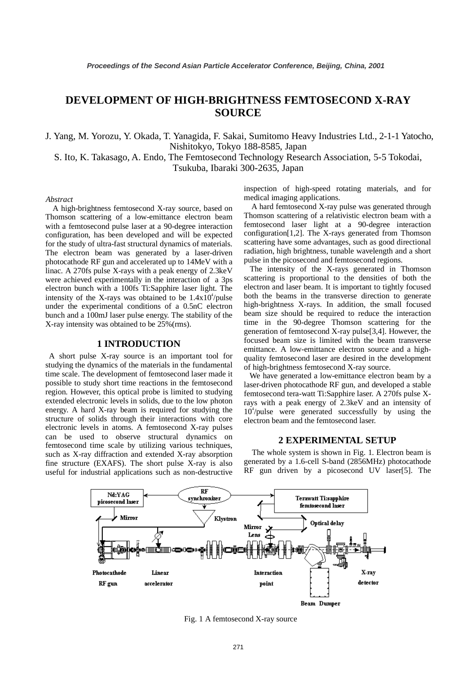# **DEVELOPMENT OF HIGH-BRIGHTNESS FEMTOSECOND X-RAY SOURCE**

J. Yang, M. Yorozu, Y. Okada, T. Yanagida, F. Sakai, Sumitomo Heavy Industries Ltd., 2-1-1 Yatocho, Nishitokyo, Tokyo 188-8585, Japan

S. Ito, K. Takasago, A. Endo, The Femtosecond Technology Research Association, 5-5 Tokodai, Tsukuba, Ibaraki 300-2635, Japan

#### *Abstract*

A high-brightness femtosecond X-ray source, based on Thomson scattering of a low-emittance electron beam with a femtosecond pulse laser at a 90-degree interaction configuration, has been developed and will be expected for the study of ultra-fast structural dynamics of materials. The electron beam was generated by a laser-driven photocathode RF gun and accelerated up to 14MeV with a linac. A 270fs pulse X-rays with a peak energy of 2.3keV were achieved experimentally in the interaction of a 3ps electron bunch with a 100fs Ti:Sapphire laser light. The intensity of the X-rays was obtained to be  $1.4x10<sup>4</sup>/pulse$ under the experimental conditions of a 0.5nC electron bunch and a 100mJ laser pulse energy. The stability of the X-ray intensity was obtained to be 25%(rms).

#### **1 INTRODUCTION**

 A short pulse X-ray source is an important tool for studying the dynamics of the materials in the fundamental time scale. The development of femtosecond laser made it possible to study short time reactions in the femtosecond region. However, this optical probe is limited to studying extended electronic levels in solids, due to the low photon energy. A hard X-ray beam is required for studying the structure of solids through their interactions with core electronic levels in atoms. A femtosecond X-ray pulses can be used to observe structural dynamics on femtosecond time scale by utilizing various techniques, such as X-ray diffraction and extended X-ray absorption fine structure (EXAFS). The short pulse X-ray is also useful for industrial applications such as non-destructive

inspection of high-speed rotating materials, and for medical imaging applications.

 A hard femtosecond X-ray pulse was generated through Thomson scattering of a relativistic electron beam with a femtosecond laser light at a 90-degree interaction configuration[1,2]. The X-rays generated from Thomson scattering have some advantages, such as good directional radiation, high brightness, tunable wavelength and a short pulse in the picosecond and femtosecond regions.

 The intensity of the X-rays generated in Thomson scattering is proportional to the densities of both the electron and laser beam. It is important to tightly focused both the beams in the transverse direction to generate high-brightness X-rays. In addition, the small focused beam size should be required to reduce the interaction time in the 90-degree Thomson scattering for the generation of femtosecond X-ray pulse[3,4]. However, the focused beam size is limited with the beam transverse emittance. A low-emittance electron source and a highquality femtosecond laser are desired in the development of high-brightness femtosecond X-ray source.

 We have generated a low-emittance electron beam by a laser-driven photocathode RF gun, and developed a stable femtosecond tera-watt Ti:Sapphire laser. A 270fs pulse Xrays with a peak energy of 2.3keV and an intensity of 10<sup>4</sup>/pulse were generated successfully by using the electron beam and the femtosecond laser.

#### **2 EXPERIMENTAL SETUP**

 The whole system is shown in Fig. 1. Electron beam is generated by a 1.6-cell S-band (2856MHz) photocathode RF gun driven by a picosecond UV laser[5]. The



Fig. 1 A femtosecond X-ray source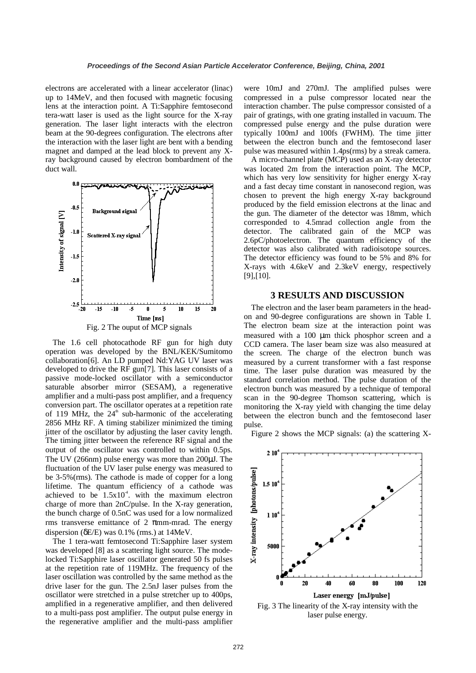electrons are accelerated with a linear accelerator (linac) up to 14MeV, and then focused with magnetic focusing lens at the interaction point. A Ti:Sapphire femtosecond tera-watt laser is used as the light source for the X-ray generation. The laser light interacts with the electron beam at the 90-degrees configuration. The electrons after the interaction with the laser light are bent with a bending magnet and damped at the lead block to prevent any Xray background caused by electron bombardment of the duct wall.



The 1.6 cell photocathode RF gun for high duty operation was developed by the BNL/KEK/Sumitomo collaboration[6]. An LD pumped Nd:YAG UV laser was developed to drive the RF gun[7]. This laser consists of a passive mode-locked oscillator with a semiconductor saturable absorber mirror (SESAM), a regenerative amplifier and a multi-pass post amplifier, and a frequency conversion part. The oscillator operates at a repetition rate of 119 MHz, the  $24<sup>th</sup>$  sub-harmonic of the accelerating 2856 MHz RF. A timing stabilizer minimized the timing jitter of the oscillator by adjusting the laser cavity length. The timing jitter between the reference RF signal and the output of the oscillator was controlled to within 0.5ps. The UV (266nm) pulse energy was more than 200µJ. The fluctuation of the UV laser pulse energy was measured to be 3-5%(rms). The cathode is made of copper for a long lifetime. The quantum efficiency of a cathode was achieved to be  $1.5x10<sup>4</sup>$ . with the maximum electron charge of more than 2nC/pulse. In the X-ray generation, the bunch charge of 0.5nC was used for a low normalized rms transverse emittance of 2  $\pi$ mm-mrad. The energy dispersion ( $\delta E/E$ ) was 0.1% (rms.) at 14MeV.

The 1 tera-watt femtosecond Ti:Sapphire laser system was developed [8] as a scattering light source. The modelocked Ti:Sapphire laser oscillator generated 50 fs pulses at the repetition rate of 119MHz. The frequency of the laser oscillation was controlled by the same method as the drive laser for the gun. The 2.5nJ laser pulses from the oscillator were stretched in a pulse stretcher up to 400ps, amplified in a regenerative amplifier, and then delivered to a multi-pass post amplifier. The output pulse energy in the regenerative amplifier and the multi-pass amplifier

were 10mJ and 270mJ. The amplified pulses were compressed in a pulse compressor located near the interaction chamber. The pulse compressor consisted of a pair of gratings, with one grating installed in vacuum. The compressed pulse energy and the pulse duration were typically 100mJ and 100fs (FWHM). The time jitter between the electron bunch and the femtosecond laser pulse was measured within 1.4ps(rms) by a streak camera.

A micro-channel plate (MCP) used as an X-ray detector was located 2m from the interaction point. The MCP, which has very low sensitivity for higher energy X-ray and a fast decay time constant in nanosecond region, was chosen to prevent the high energy X-ray background produced by the field emission electrons at the linac and the gun. The diameter of the detector was 18mm, which corresponded to 4.5mrad collection angle from the detector. The calibrated gain of the MCP was 2.6pC/photoelectron. The quantum efficiency of the detector was also calibrated with radioisotope sources. The detector efficiency was found to be 5% and 8% for X-rays with 4.6keV and 2.3keV energy, respectively [9],[10].

#### **3 RESULTS AND DISCUSSION**

The electron and the laser beam parameters in the headon and 90-degree configurations are shown in Table I. The electron beam size at the interaction point was measured with a 100 µm thick phosphor screen and a CCD camera. The laser beam size was also measured at the screen. The charge of the electron bunch was measured by a current transformer with a fast response time. The laser pulse duration was measured by the standard correlation method. The pulse duration of the electron bunch was measured by a technique of temporal scan in the 90-degree Thomson scattering, which is monitoring the X-ray yield with changing the time delay between the electron bunch and the femtosecond laser pulse.

Figure 2 shows the MCP signals: (a) the scattering X-



Fig. 3 The linearity of the X-ray intensity with the laser pulse energy.